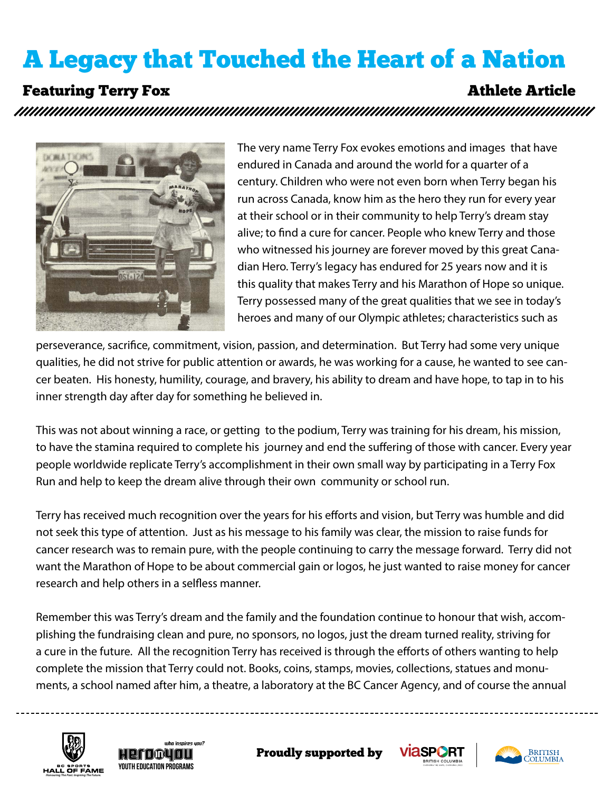## A Legacy that Touched the Heart of a Nation

### **Featuring Terry Fox** Athlete Article



The very name Terry Fox evokes emotions and images that have endured in Canada and around the world for a quarter of a century. Children who were not even born when Terry began his run across Canada, know him as the hero they run for every year at their school or in their community to help Terry's dream stay alive; to find a cure for cancer. People who knew Terry and those who witnessed his journey are forever moved by this great Canadian Hero. Terry's legacy has endured for 25 years now and it is this quality that makes Terry and his Marathon of Hope so unique. Terry possessed many of the great qualities that we see in today's heroes and many of our Olympic athletes; characteristics such as

perseverance, sacrifice, commitment, vision, passion, and determination. But Terry had some very unique qualities, he did not strive for public attention or awards, he was working for a cause, he wanted to see cancer beaten. His honesty, humility, courage, and bravery, his ability to dream and have hope, to tap in to his inner strength day after day for something he believed in.

This was not about winning a race, or getting to the podium, Terry was training for his dream, his mission, to have the stamina required to complete his journey and end the suffering of those with cancer. Every year people worldwide replicate Terry's accomplishment in their own small way by participating in a Terry Fox Run and help to keep the dream alive through their own community or school run.

Terry has received much recognition over the years for his efforts and vision, but Terry was humble and did not seek this type of attention. Just as his message to his family was clear, the mission to raise funds for cancer research was to remain pure, with the people continuing to carry the message forward. Terry did not want the Marathon of Hope to be about commercial gain or logos, he just wanted to raise money for cancer research and help others in a selfless manner.

ments, a school named after him, a theatre, a laboratory at the BC Cancer Agency, and of course the annual a cure in the future. All the recognition Terry has received is through the efforts of others wanting to help Remember this was Terry's dream and the family and the foundation continue to honour that wish, accomplishing the fundraising clean and pure, no sponsors, no logos, just the dream turned reality, striving for complete the mission that Terry could not. Books, coins, stamps, movies, collections, statues and monu-







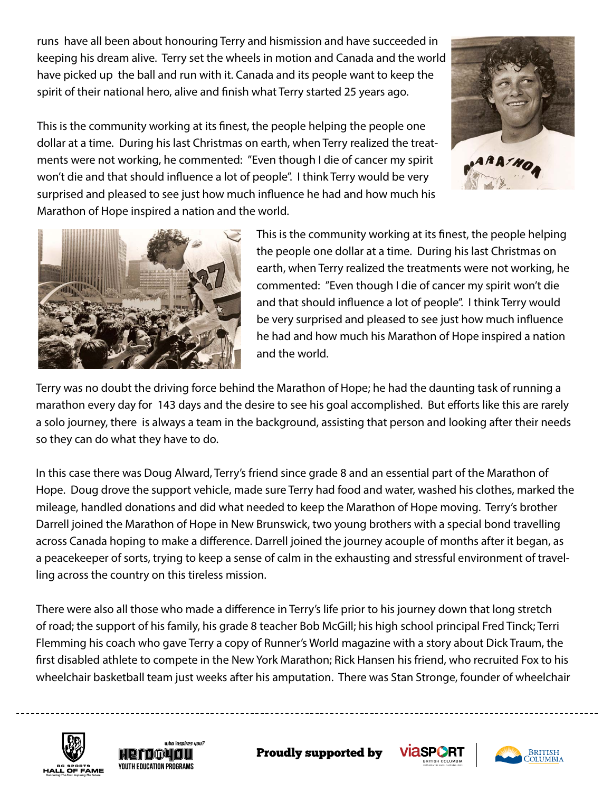runs have all been about honouring Terry and hismission and have succeeded in keeping his dream alive. Terry set the wheels in motion and Canada and the world have picked up the ball and run with it. Canada and its people want to keep the spirit of their national hero, alive and finish what Terry started 25 years ago.

ARATHO

This is the community working at its finest, the people helping the people one dollar at a time. During his last Christmas on earth, when Terry realized the treatments were not working, he commented: "Even though I die of cancer my spirit won't die and that should influence a lot of people". I think Terry would be very surprised and pleased to see just how much influence he had and how much his Marathon of Hope inspired a nation and the world.



This is the community working at its finest, the people helping the people one dollar at a time. During his last Christmas on earth, when Terry realized the treatments were not working, he commented: "Even though I die of cancer my spirit won't die and that should influence a lot of people". I think Terry would be very surprised and pleased to see just how much influence he had and how much his Marathon of Hope inspired a nation and the world.

Terry was no doubt the driving force behind the Marathon of Hope; he had the daunting task of running a marathon every day for 143 days and the desire to see his goal accomplished. But efforts like this are rarely a solo journey, there is always a team in the background, assisting that person and looking after their needs so they can do what they have to do.

In this case there was Doug Alward, Terry's friend since grade 8 and an essential part of the Marathon of Hope. Doug drove the support vehicle, made sure Terry had food and water, washed his clothes, marked the mileage, handled donations and did what needed to keep the Marathon of Hope moving. Terry's brother Darrell joined the Marathon of Hope in New Brunswick, two young brothers with a special bond travelling across Canada hoping to make a difference. Darrell joined the journey acouple of months after it began, as a peacekeeper of sorts, trying to keep a sense of calm in the exhausting and stressful environment of travelling across the country on this tireless mission.

wheelchair basketball team just weeks after his amputation. There was Stan Stronge, founder of wheelchair Flemming his coach who gave Terry a copy of Runner's World magazine with a story about Dick Traum, the There were also all those who made a difference in Terry's life prior to his journey down that long stretch of road; the support of his family, his grade 8 teacher Bob McGill; his high school principal Fred Tinck; Terri first disabled athlete to compete in the New York Marathon; Rick Hansen his friend, who recruited Fox to his







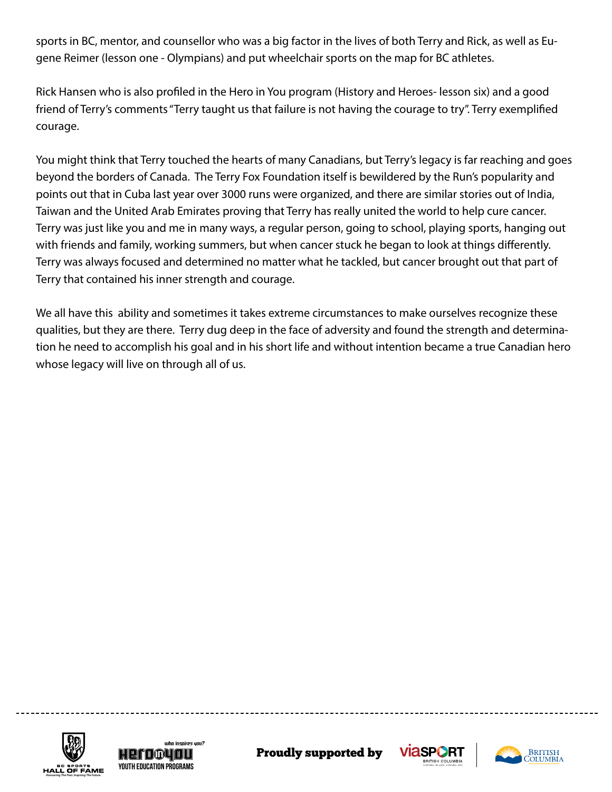sports in BC, mentor, and counsellor who was a big factor in the lives of both Terry and Rick, as well as Eugene Reimer (lesson one - Olympians) and put wheelchair sports on the map for BC athletes.

Rick Hansen who is also profiled in the Hero in You program (History and Heroes- lesson six) and a good friend of Terry's comments "Terry taught us that failure is not having the courage to try". Terry exemplified courage.

You might think that Terry touched the hearts of many Canadians, but Terry's legacy is far reaching and goes beyond the borders of Canada. The Terry Fox Foundation itself is bewildered by the Run's popularity and points out that in Cuba last year over 3000 runs were organized, and there are similar stories out of India, Taiwan and the United Arab Emirates proving that Terry has really united the world to help cure cancer. Terry was just like you and me in many ways, a regular person, going to school, playing sports, hanging out with friends and family, working summers, but when cancer stuck he began to look at things differently. Terry was always focused and determined no matter what he tackled, but cancer brought out that part of Terry that contained his inner strength and courage.

We all have this ability and sometimes it takes extreme circumstances to make ourselves recognize these qualities, but they are there. Terry dug deep in the face of adversity and found the strength and determination he need to accomplish his goal and in his short life and without intention became a true Canadian hero whose legacy will live on through all of us.